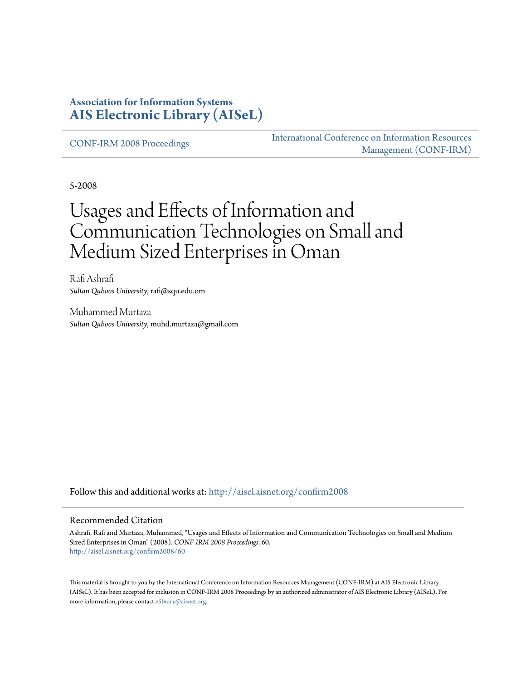#### **Association for Information Systems [AIS Electronic Library \(AISeL\)](http://aisel.aisnet.org?utm_source=aisel.aisnet.org%2Fconfirm2008%2F60&utm_medium=PDF&utm_campaign=PDFCoverPages)**

[CONF-IRM 2008 Proceedings](http://aisel.aisnet.org/confirm2008?utm_source=aisel.aisnet.org%2Fconfirm2008%2F60&utm_medium=PDF&utm_campaign=PDFCoverPages)

[International Conference on Information Resources](http://aisel.aisnet.org/conf-irm?utm_source=aisel.aisnet.org%2Fconfirm2008%2F60&utm_medium=PDF&utm_campaign=PDFCoverPages) [Management \(CONF-IRM\)](http://aisel.aisnet.org/conf-irm?utm_source=aisel.aisnet.org%2Fconfirm2008%2F60&utm_medium=PDF&utm_campaign=PDFCoverPages)

5-2008

# Usages and Effects of Information and Communication Technologies on Small and Medium Sized Enterprises in Oman

Rafi Ashrafi *Sultan Qaboos University*, rafi@squ.edu.om

Muhammed Murtaza *Sultan Qaboos University*, muhd.murtaza@gmail.com

Follow this and additional works at: [http://aisel.aisnet.org/confirm2008](http://aisel.aisnet.org/confirm2008?utm_source=aisel.aisnet.org%2Fconfirm2008%2F60&utm_medium=PDF&utm_campaign=PDFCoverPages)

#### Recommended Citation

Ashrafi, Rafi and Murtaza, Muhammed, "Usages and Effects of Information and Communication Technologies on Small and Medium Sized Enterprises in Oman" (2008). *CONF-IRM 2008 Proceedings*. 60. [http://aisel.aisnet.org/confirm2008/60](http://aisel.aisnet.org/confirm2008/60?utm_source=aisel.aisnet.org%2Fconfirm2008%2F60&utm_medium=PDF&utm_campaign=PDFCoverPages)

This material is brought to you by the International Conference on Information Resources Management (CONF-IRM) at AIS Electronic Library (AISeL). It has been accepted for inclusion in CONF-IRM 2008 Proceedings by an authorized administrator of AIS Electronic Library (AISeL). For more information, please contact [elibrary@aisnet.org.](mailto:elibrary@aisnet.org%3E)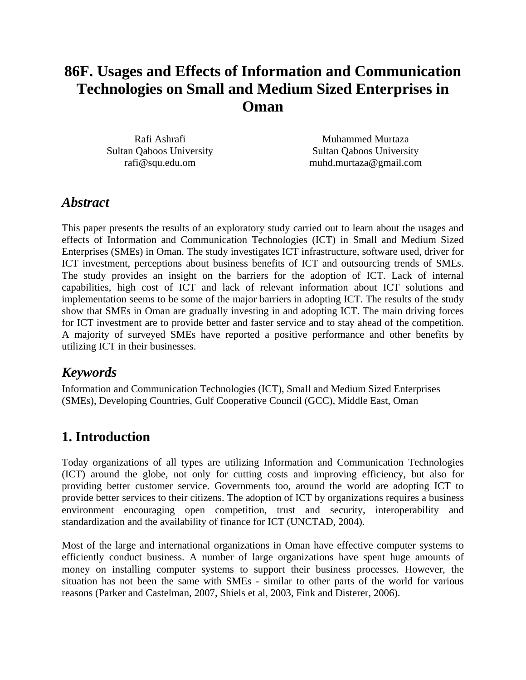# **86F. Usages and Effects of Information and Communication Technologies on Small and Medium Sized Enterprises in Oman**

Rafi Ashrafi Sultan Qaboos University rafi@squ.edu.om

Muhammed Murtaza Sultan Qaboos University muhd.murtaza@gmail.com

### *Abstract*

This paper presents the results of an exploratory study carried out to learn about the usages and effects of Information and Communication Technologies (ICT) in Small and Medium Sized Enterprises (SMEs) in Oman. The study investigates ICT infrastructure, software used, driver for ICT investment, perceptions about business benefits of ICT and outsourcing trends of SMEs. The study provides an insight on the barriers for the adoption of ICT. Lack of internal capabilities, high cost of ICT and lack of relevant information about ICT solutions and implementation seems to be some of the major barriers in adopting ICT. The results of the study show that SMEs in Oman are gradually investing in and adopting ICT. The main driving forces for ICT investment are to provide better and faster service and to stay ahead of the competition. A majority of surveyed SMEs have reported a positive performance and other benefits by utilizing ICT in their businesses.

# *Keywords*

Information and Communication Technologies (ICT), Small and Medium Sized Enterprises (SMEs), Developing Countries, Gulf Cooperative Council (GCC), Middle East, Oman

# **1. Introduction**

Today organizations of all types are utilizing Information and Communication Technologies (ICT) around the globe, not only for cutting costs and improving efficiency, but also for providing better customer service. Governments too, around the world are adopting ICT to provide better services to their citizens. The adoption of ICT by organizations requires a business environment encouraging open competition, trust and security, interoperability and standardization and the availability of finance for ICT (UNCTAD, 2004).

Most of the large and international organizations in Oman have effective computer systems to efficiently conduct business. A number of large organizations have spent huge amounts of money on installing computer systems to support their business processes. However, the situation has not been the same with SMEs - similar to other parts of the world for various reasons (Parker and Castelman, 2007, Shiels et al, 2003, Fink and Disterer, 2006).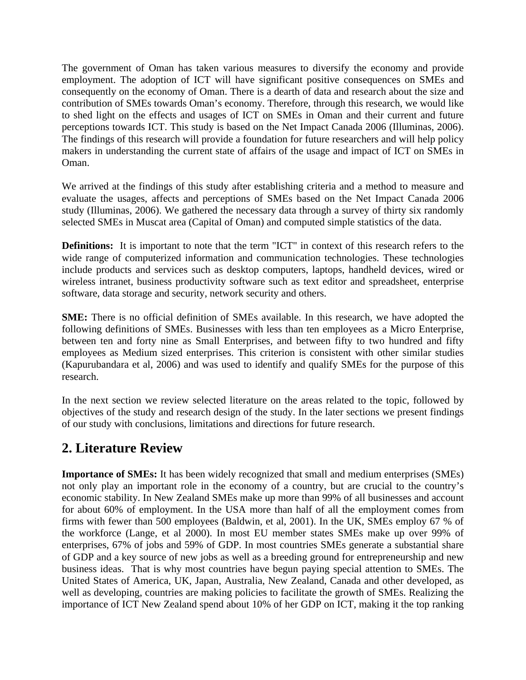The government of Oman has taken various measures to diversify the economy and provide employment. The adoption of ICT will have significant positive consequences on SMEs and consequently on the economy of Oman. There is a dearth of data and research about the size and contribution of SMEs towards Oman's economy. Therefore, through this research, we would like to shed light on the effects and usages of ICT on SMEs in Oman and their current and future perceptions towards ICT. This study is based on the Net Impact Canada 2006 (Illuminas, 2006). The findings of this research will provide a foundation for future researchers and will help policy makers in understanding the current state of affairs of the usage and impact of ICT on SMEs in Oman.

We arrived at the findings of this study after establishing criteria and a method to measure and evaluate the usages, affects and perceptions of SMEs based on the Net Impact Canada 2006 study (Illuminas, 2006). We gathered the necessary data through a survey of thirty six randomly selected SMEs in Muscat area (Capital of Oman) and computed simple statistics of the data.

**Definitions:** It is important to note that the term "ICT" in context of this research refers to the wide range of computerized information and communication technologies. These technologies include products and services such as desktop computers, laptops, handheld devices, wired or wireless intranet, business productivity software such as text editor and spreadsheet, enterprise software, data storage and security, network security and others.

**SME:** There is no official definition of SMEs available. In this research, we have adopted the following definitions of SMEs. Businesses with less than ten employees as a Micro Enterprise, between ten and forty nine as Small Enterprises, and between fifty to two hundred and fifty employees as Medium sized enterprises. This criterion is consistent with other similar studies (Kapurubandara et al, 2006) and was used to identify and qualify SMEs for the purpose of this research.

In the next section we review selected literature on the areas related to the topic, followed by objectives of the study and research design of the study. In the later sections we present findings of our study with conclusions, limitations and directions for future research.

# **2. Literature Review**

**Importance of SMEs:** It has been widely recognized that small and medium enterprises (SMEs) not only play an important role in the economy of a country, but are crucial to the country's economic stability. In New Zealand SMEs make up more than 99% of all businesses and account for about 60% of employment. In the USA more than half of all the employment comes from firms with fewer than 500 employees (Baldwin, et al, 2001). In the UK, SMEs employ 67 % of the workforce (Lange, et al 2000). In most EU member states SMEs make up over 99% of enterprises, 67% of jobs and 59% of GDP. In most countries SMEs generate a substantial share of GDP and a key source of new jobs as well as a breeding ground for entrepreneurship and new business ideas. That is why most countries have begun paying special attention to SMEs. The United States of America, UK, Japan, Australia, New Zealand, Canada and other developed, as well as developing, countries are making policies to facilitate the growth of SMEs. Realizing the importance of ICT New Zealand spend about 10% of her GDP on ICT, making it the top ranking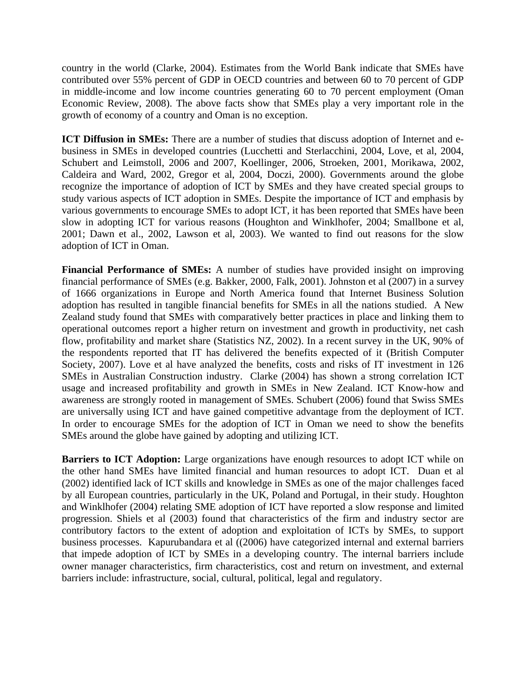country in the world (Clarke, 2004). Estimates from the World Bank indicate that SMEs have contributed over 55% percent of GDP in OECD countries and between 60 to 70 percent of GDP in middle-income and low income countries generating 60 to 70 percent employment (Oman Economic Review, 2008). The above facts show that SMEs play a very important role in the growth of economy of a country and Oman is no exception.

**ICT Diffusion in SMEs:** There are a number of studies that discuss adoption of Internet and ebusiness in SMEs in developed countries (Lucchetti and Sterlacchini, 2004, Love, et al, 2004, Schubert and Leimstoll, 2006 and 2007, Koellinger, 2006, Stroeken, 2001, Morikawa, 2002, Caldeira and Ward, 2002, Gregor et al, 2004, Doczi, 2000). Governments around the globe recognize the importance of adoption of ICT by SMEs and they have created special groups to study various aspects of ICT adoption in SMEs. Despite the importance of ICT and emphasis by various governments to encourage SMEs to adopt ICT, it has been reported that SMEs have been slow in adopting ICT for various reasons (Houghton and Winklhofer, 2004; Smallbone et al, 2001; Dawn et al., 2002, Lawson et al, 2003). We wanted to find out reasons for the slow adoption of ICT in Oman.

**Financial Performance of SMEs:** A number of studies have provided insight on improving financial performance of SMEs (e.g. Bakker, 2000, Falk, 2001). Johnston et al (2007) in a survey of 1666 organizations in Europe and North America found that Internet Business Solution adoption has resulted in tangible financial benefits for SMEs in all the nations studied. A New Zealand study found that SMEs with comparatively better practices in place and linking them to operational outcomes report a higher return on investment and growth in productivity, net cash flow, profitability and market share (Statistics NZ, 2002). In a recent survey in the UK, 90% of the respondents reported that IT has delivered the benefits expected of it (British Computer Society, 2007). Love et al have analyzed the benefits, costs and risks of IT investment in 126 SMEs in Australian Construction industry. Clarke (2004) has shown a strong correlation ICT usage and increased profitability and growth in SMEs in New Zealand. ICT Know-how and awareness are strongly rooted in management of SMEs. Schubert (2006) found that Swiss SMEs are universally using ICT and have gained competitive advantage from the deployment of ICT. In order to encourage SMEs for the adoption of ICT in Oman we need to show the benefits SMEs around the globe have gained by adopting and utilizing ICT.

**Barriers to ICT Adoption:** Large organizations have enough resources to adopt ICT while on the other hand SMEs have limited financial and human resources to adopt ICT. Duan et al (2002) identified lack of ICT skills and knowledge in SMEs as one of the major challenges faced by all European countries, particularly in the UK, Poland and Portugal, in their study. Houghton and Winklhofer (2004) relating SME adoption of ICT have reported a slow response and limited progression. Shiels et al (2003) found that characteristics of the firm and industry sector are contributory factors to the extent of adoption and exploitation of ICTs by SMEs, to support business processes. Kapurubandara et al ((2006) have categorized internal and external barriers that impede adoption of ICT by SMEs in a developing country. The internal barriers include owner manager characteristics, firm characteristics, cost and return on investment, and external barriers include: infrastructure, social, cultural, political, legal and regulatory.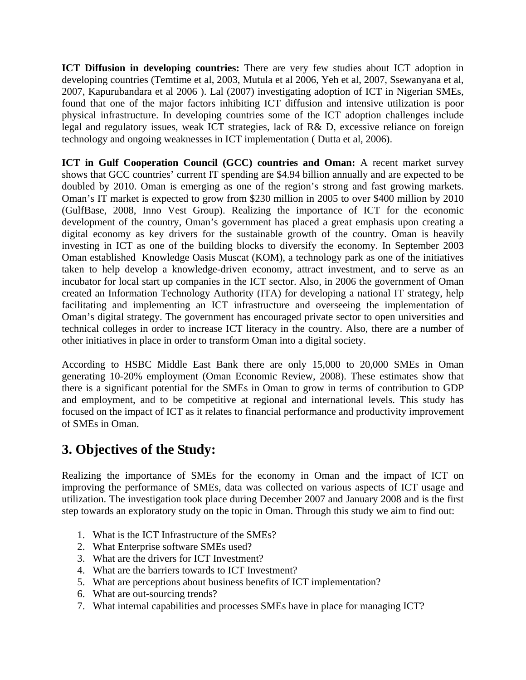**ICT Diffusion in developing countries:** There are very few studies about ICT adoption in developing countries (Temtime et al, 2003, Mutula et al 2006, Yeh et al, 2007, Ssewanyana et al, 2007, Kapurubandara et al 2006 ). Lal (2007) investigating adoption of ICT in Nigerian SMEs, found that one of the major factors inhibiting ICT diffusion and intensive utilization is poor physical infrastructure. In developing countries some of the ICT adoption challenges include legal and regulatory issues, weak ICT strategies, lack of R& D, excessive reliance on foreign technology and ongoing weaknesses in ICT implementation ( Dutta et al, 2006).

**ICT in Gulf Cooperation Council (GCC) countries and Oman:** A recent market survey shows that GCC countries' current IT spending are \$4.94 billion annually and are expected to be doubled by 2010. Oman is emerging as one of the region's strong and fast growing markets. Oman's IT market is expected to grow from \$230 million in 2005 to over \$400 million by 2010 (GulfBase, 2008, Inno Vest Group). Realizing the importance of ICT for the economic development of the country, Oman's government has placed a great emphasis upon creating a digital economy as key drivers for the sustainable growth of the country. Oman is heavily investing in ICT as one of the building blocks to diversify the economy. In September 2003 Oman established Knowledge Oasis Muscat (KOM), a technology park as one of the initiatives taken to help develop a knowledge-driven economy, attract investment, and to serve as an incubator for local start up companies in the ICT sector. Also, in 2006 the government of Oman created an Information Technology Authority (ITA) for developing a national IT strategy, help facilitating and implementing an ICT infrastructure and overseeing the implementation of Oman's digital strategy. The government has encouraged private sector to open universities and technical colleges in order to increase ICT literacy in the country. Also, there are a number of other initiatives in place in order to transform Oman into a digital society.

According to HSBC Middle East Bank there are only 15,000 to 20,000 SMEs in Oman generating 10-20% employment (Oman Economic Review, 2008). These estimates show that there is a significant potential for the SMEs in Oman to grow in terms of contribution to GDP and employment, and to be competitive at regional and international levels. This study has focused on the impact of ICT as it relates to financial performance and productivity improvement of SMEs in Oman.

# **3. Objectives of the Study:**

Realizing the importance of SMEs for the economy in Oman and the impact of ICT on improving the performance of SMEs, data was collected on various aspects of ICT usage and utilization. The investigation took place during December 2007 and January 2008 and is the first step towards an exploratory study on the topic in Oman. Through this study we aim to find out:

- 1. What is the ICT Infrastructure of the SMEs?
- 2. What Enterprise software SMEs used?
- 3. What are the drivers for ICT Investment?
- 4. What are the barriers towards to ICT Investment?
- 5. What are perceptions about business benefits of ICT implementation?
- 6. What are out-sourcing trends?
- 7. What internal capabilities and processes SMEs have in place for managing ICT?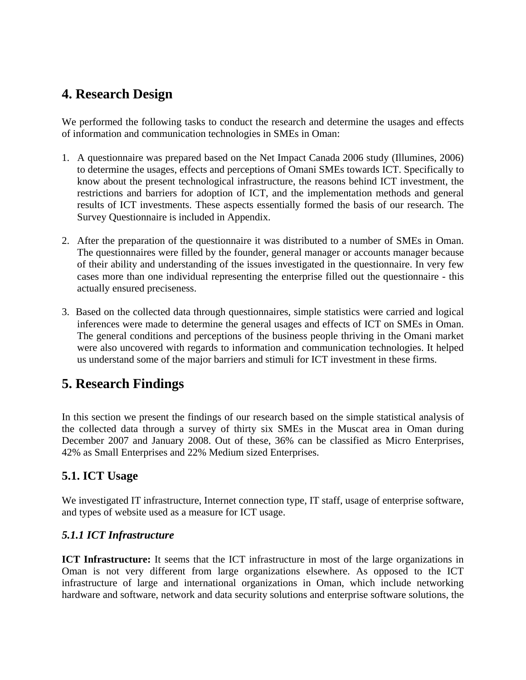### **4. Research Design**

We performed the following tasks to conduct the research and determine the usages and effects of information and communication technologies in SMEs in Oman:

- 1. A questionnaire was prepared based on the Net Impact Canada 2006 study (Illumines, 2006) to determine the usages, effects and perceptions of Omani SMEs towards ICT. Specifically to know about the present technological infrastructure, the reasons behind ICT investment, the restrictions and barriers for adoption of ICT, and the implementation methods and general results of ICT investments. These aspects essentially formed the basis of our research. The Survey Questionnaire is included in Appendix.
- 2. After the preparation of the questionnaire it was distributed to a number of SMEs in Oman. The questionnaires were filled by the founder, general manager or accounts manager because of their ability and understanding of the issues investigated in the questionnaire. In very few cases more than one individual representing the enterprise filled out the questionnaire - this actually ensured preciseness.
- 3. Based on the collected data through questionnaires, simple statistics were carried and logical inferences were made to determine the general usages and effects of ICT on SMEs in Oman. The general conditions and perceptions of the business people thriving in the Omani market were also uncovered with regards to information and communication technologies. It helped us understand some of the major barriers and stimuli for ICT investment in these firms.

# **5. Research Findings**

In this section we present the findings of our research based on the simple statistical analysis of the collected data through a survey of thirty six SMEs in the Muscat area in Oman during December 2007 and January 2008. Out of these, 36% can be classified as Micro Enterprises, 42% as Small Enterprises and 22% Medium sized Enterprises.

#### **5.1. ICT Usage**

We investigated IT infrastructure, Internet connection type, IT staff, usage of enterprise software, and types of website used as a measure for ICT usage.

#### *5.1.1 ICT Infrastructure*

**ICT Infrastructure:** It seems that the ICT infrastructure in most of the large organizations in Oman is not very different from large organizations elsewhere. As opposed to the ICT infrastructure of large and international organizations in Oman, which include networking hardware and software, network and data security solutions and enterprise software solutions, the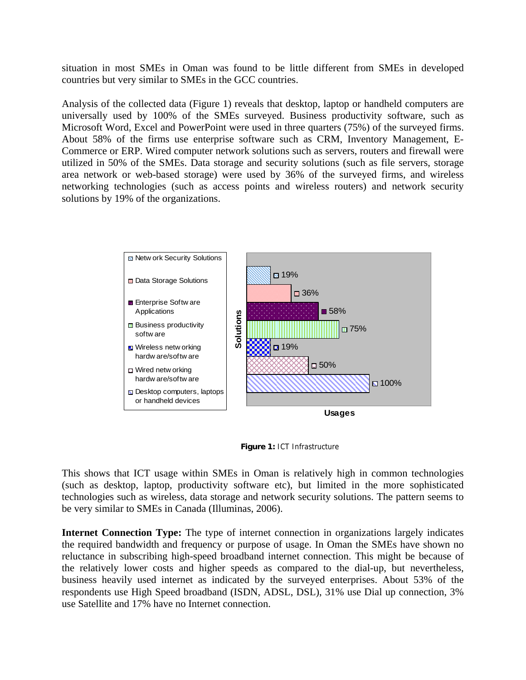situation in most SMEs in Oman was found to be little different from SMEs in developed countries but very similar to SMEs in the GCC countries.

Analysis of the collected data (Figure 1) reveals that desktop, laptop or handheld computers are universally used by 100% of the SMEs surveyed. Business productivity software, such as Microsoft Word, Excel and PowerPoint were used in three quarters (75%) of the surveyed firms. About 58% of the firms use enterprise software such as CRM, Inventory Management, E-Commerce or ERP. Wired computer network solutions such as servers, routers and firewall were utilized in 50% of the SMEs. Data storage and security solutions (such as file servers, storage area network or web-based storage) were used by 36% of the surveyed firms, and wireless networking technologies (such as access points and wireless routers) and network security solutions by 19% of the organizations.



**Figure 1:** ICT Infrastructure

This shows that ICT usage within SMEs in Oman is relatively high in common technologies (such as desktop, laptop, productivity software etc), but limited in the more sophisticated technologies such as wireless, data storage and network security solutions. The pattern seems to be very similar to SMEs in Canada (Illuminas, 2006).

**Internet Connection Type:** The type of internet connection in organizations largely indicates the required bandwidth and frequency or purpose of usage. In Oman the SMEs have shown no reluctance in subscribing high-speed broadband internet connection. This might be because of the relatively lower costs and higher speeds as compared to the dial-up, but nevertheless, business heavily used internet as indicated by the surveyed enterprises. About 53% of the respondents use High Speed broadband (ISDN, ADSL, DSL), 31% use Dial up connection, 3% use Satellite and 17% have no Internet connection.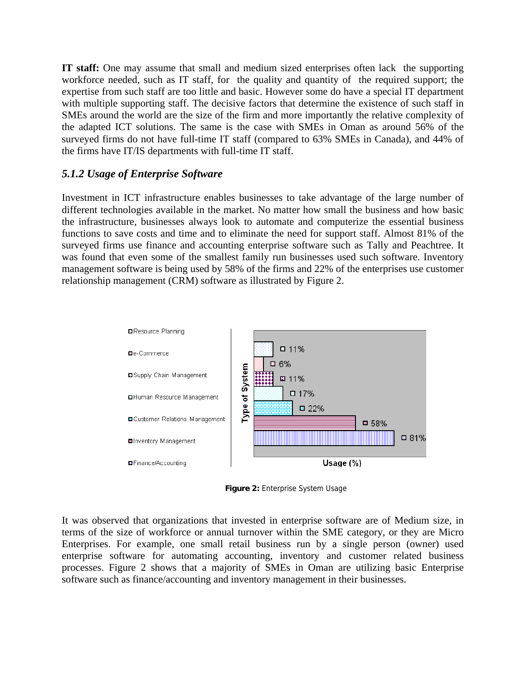**IT staff:** One may assume that small and medium sized enterprises often lack the supporting workforce needed, such as IT staff, for the quality and quantity of the required support; the expertise from such staff are too little and basic. However some do have a special IT department with multiple supporting staff. The decisive factors that determine the existence of such staff in SMEs around the world are the size of the firm and more importantly the relative complexity of the adapted ICT solutions. The same is the case with SMEs in Oman as around 56% of the surveyed firms do not have full-time IT staff (compared to 63% SMEs in Canada), and 44% of the firms have IT/IS departments with full-time IT staff.

#### *5.1.2 Usage of Enterprise Software*

Investment in ICT infrastructure enables businesses to take advantage of the large number of different technologies available in the market. No matter how small the business and how basic the infrastructure, businesses always look to automate and computerize the essential business functions to save costs and time and to eliminate the need for support staff. Almost 81% of the surveyed firms use finance and accounting enterprise software such as Tally and Peachtree. It was found that even some of the smallest family run businesses used such software. Inventory management software is being used by 58% of the firms and 22% of the enterprises use customer relationship management (CRM) software as illustrated by Figure 2.



**Figure 2:** Enterprise System Usage

It was observed that organizations that invested in enterprise software are of Medium size, in terms of the size of workforce or annual turnover within the SME category, or they are Micro Enterprises. For example, one small retail business run by a single person (owner) used enterprise software for automating accounting, inventory and customer related business processes. Figure 2 shows that a majority of SMEs in Oman are utilizing basic Enterprise software such as finance/accounting and inventory management in their businesses.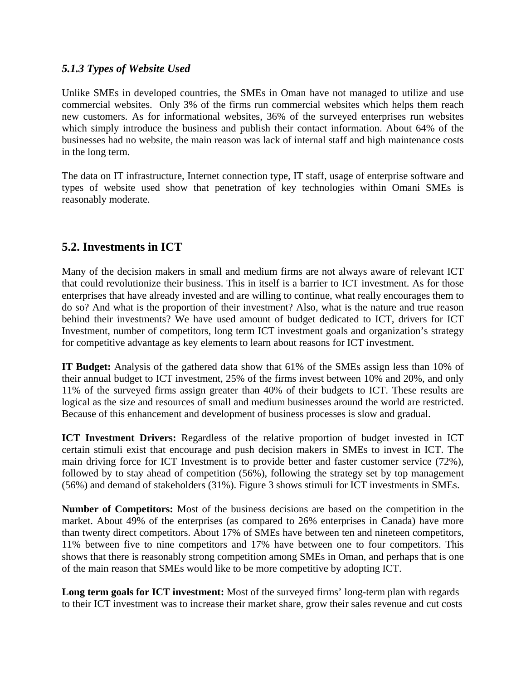#### *5.1.3 Types of Website Used*

Unlike SMEs in developed countries, the SMEs in Oman have not managed to utilize and use commercial websites. Only 3% of the firms run commercial websites which helps them reach new customers. As for informational websites, 36% of the surveyed enterprises run websites which simply introduce the business and publish their contact information. About 64% of the businesses had no website, the main reason was lack of internal staff and high maintenance costs in the long term.

The data on IT infrastructure, Internet connection type, IT staff, usage of enterprise software and types of website used show that penetration of key technologies within Omani SMEs is reasonably moderate.

### **5.2. Investments in ICT**

Many of the decision makers in small and medium firms are not always aware of relevant ICT that could revolutionize their business. This in itself is a barrier to ICT investment. As for those enterprises that have already invested and are willing to continue, what really encourages them to do so? And what is the proportion of their investment? Also, what is the nature and true reason behind their investments? We have used amount of budget dedicated to ICT, drivers for ICT Investment, number of competitors, long term ICT investment goals and organization's strategy for competitive advantage as key elements to learn about reasons for ICT investment.

**IT Budget:** Analysis of the gathered data show that 61% of the SMEs assign less than 10% of their annual budget to ICT investment, 25% of the firms invest between 10% and 20%, and only 11% of the surveyed firms assign greater than 40% of their budgets to ICT. These results are logical as the size and resources of small and medium businesses around the world are restricted. Because of this enhancement and development of business processes is slow and gradual.

**ICT Investment Drivers:** Regardless of the relative proportion of budget invested in ICT certain stimuli exist that encourage and push decision makers in SMEs to invest in ICT. The main driving force for ICT Investment is to provide better and faster customer service (72%), followed by to stay ahead of competition (56%), following the strategy set by top management (56%) and demand of stakeholders (31%). Figure 3 shows stimuli for ICT investments in SMEs.

**Number of Competitors:** Most of the business decisions are based on the competition in the market. About 49% of the enterprises (as compared to 26% enterprises in Canada) have more than twenty direct competitors. About 17% of SMEs have between ten and nineteen competitors, 11% between five to nine competitors and 17% have between one to four competitors. This shows that there is reasonably strong competition among SMEs in Oman, and perhaps that is one of the main reason that SMEs would like to be more competitive by adopting ICT.

**Long term goals for ICT investment:** Most of the surveyed firms' long-term plan with regards to their ICT investment was to increase their market share, grow their sales revenue and cut costs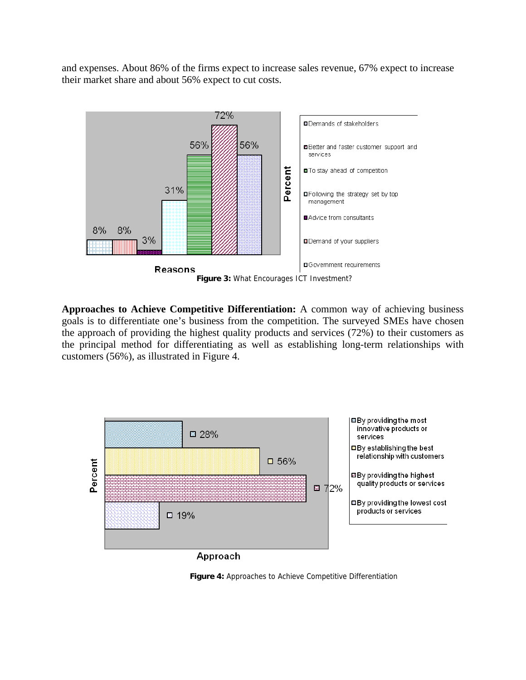and expenses. About 86% of the firms expect to increase sales revenue, 67% expect to increase their market share and about 56% expect to cut costs.



**Approaches to Achieve Competitive Differentiation:** A common way of achieving business goals is to differentiate one's business from the competition. The surveyed SMEs have chosen the approach of providing the highest quality products and services (72%) to their customers as the principal method for differentiating as well as establishing long-term relationships with customers (56%), as illustrated in Figure 4.



**Figure 4:** Approaches to Achieve Competitive Differentiation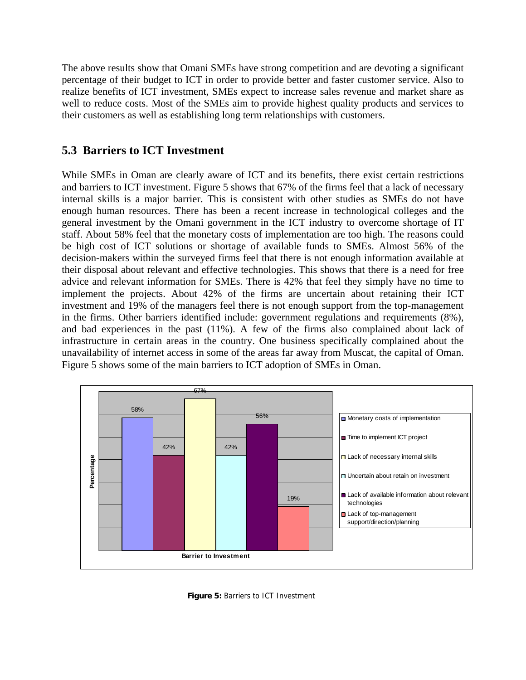The above results show that Omani SMEs have strong competition and are devoting a significant percentage of their budget to ICT in order to provide better and faster customer service. Also to realize benefits of ICT investment, SMEs expect to increase sales revenue and market share as well to reduce costs. Most of the SMEs aim to provide highest quality products and services to their customers as well as establishing long term relationships with customers.

#### **5.3 Barriers to ICT Investment**

While SMEs in Oman are clearly aware of ICT and its benefits, there exist certain restrictions and barriers to ICT investment. Figure 5 shows that 67% of the firms feel that a lack of necessary internal skills is a major barrier. This is consistent with other studies as SMEs do not have enough human resources. There has been a recent increase in technological colleges and the general investment by the Omani government in the ICT industry to overcome shortage of IT staff. About 58% feel that the monetary costs of implementation are too high. The reasons could be high cost of ICT solutions or shortage of available funds to SMEs. Almost 56% of the decision-makers within the surveyed firms feel that there is not enough information available at their disposal about relevant and effective technologies. This shows that there is a need for free advice and relevant information for SMEs. There is 42% that feel they simply have no time to implement the projects. About 42% of the firms are uncertain about retaining their ICT investment and 19% of the managers feel there is not enough support from the top-management in the firms. Other barriers identified include: government regulations and requirements (8%), and bad experiences in the past (11%). A few of the firms also complained about lack of infrastructure in certain areas in the country. One business specifically complained about the unavailability of internet access in some of the areas far away from Muscat, the capital of Oman. Figure 5 shows some of the main barriers to ICT adoption of SMEs in Oman.



**Figure 5:** Barriers to ICT Investment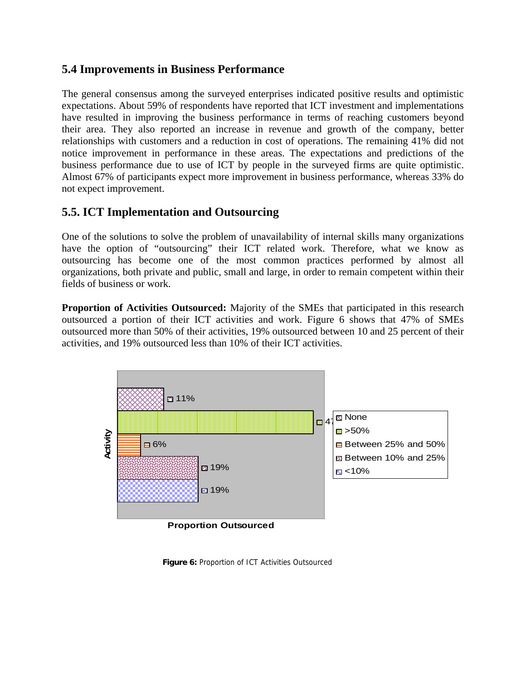#### **5.4 Improvements in Business Performance**

The general consensus among the surveyed enterprises indicated positive results and optimistic expectations. About 59% of respondents have reported that ICT investment and implementations have resulted in improving the business performance in terms of reaching customers beyond their area. They also reported an increase in revenue and growth of the company, better relationships with customers and a reduction in cost of operations. The remaining 41% did not notice improvement in performance in these areas. The expectations and predictions of the business performance due to use of ICT by people in the surveyed firms are quite optimistic. Almost 67% of participants expect more improvement in business performance, whereas 33% do not expect improvement.

### **5.5. ICT Implementation and Outsourcing**

One of the solutions to solve the problem of unavailability of internal skills many organizations have the option of "outsourcing" their ICT related work. Therefore, what we know as outsourcing has become one of the most common practices performed by almost all organizations, both private and public, small and large, in order to remain competent within their fields of business or work.

**Proportion of Activities Outsourced:** Majority of the SMEs that participated in this research outsourced a portion of their ICT activities and work. Figure 6 shows that 47% of SMEs outsourced more than 50% of their activities, 19% outsourced between 10 and 25 percent of their activities, and 19% outsourced less than 10% of their ICT activities.



**Proportion Outsourced**

**Figure 6:** Proportion of ICT Activities Outsourced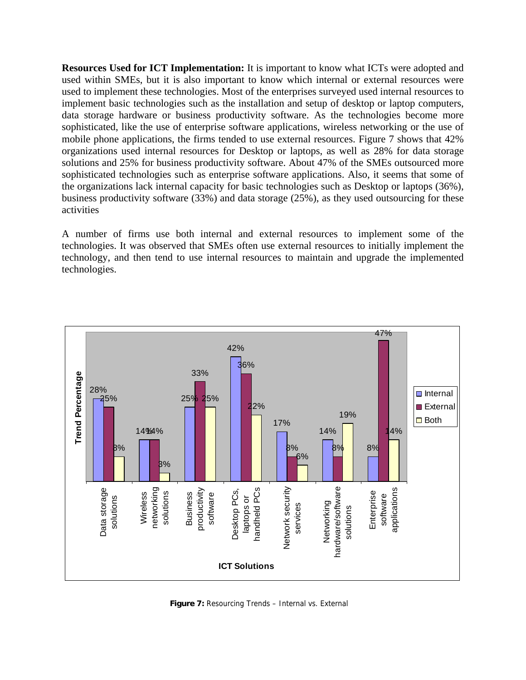**Resources Used for ICT Implementation:** It is important to know what ICTs were adopted and used within SMEs, but it is also important to know which internal or external resources were used to implement these technologies. Most of the enterprises surveyed used internal resources to implement basic technologies such as the installation and setup of desktop or laptop computers, data storage hardware or business productivity software. As the technologies become more sophisticated, like the use of enterprise software applications, wireless networking or the use of mobile phone applications, the firms tended to use external resources. Figure 7 shows that 42% organizations used internal resources for Desktop or laptops, as well as 28% for data storage solutions and 25% for business productivity software. About 47% of the SMEs outsourced more sophisticated technologies such as enterprise software applications. Also, it seems that some of the organizations lack internal capacity for basic technologies such as Desktop or laptops (36%), business productivity software (33%) and data storage (25%), as they used outsourcing for these activities

A number of firms use both internal and external resources to implement some of the technologies. It was observed that SMEs often use external resources to initially implement the technology, and then tend to use internal resources to maintain and upgrade the implemented technologies.



**Figure 7:** Resourcing Trends – Internal vs. External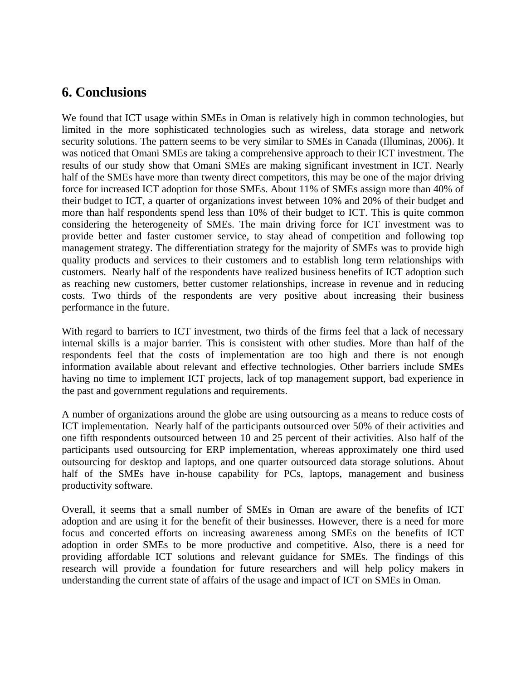### **6. Conclusions**

We found that ICT usage within SMEs in Oman is relatively high in common technologies, but limited in the more sophisticated technologies such as wireless, data storage and network security solutions. The pattern seems to be very similar to SMEs in Canada (Illuminas, 2006). It was noticed that Omani SMEs are taking a comprehensive approach to their ICT investment. The results of our study show that Omani SMEs are making significant investment in ICT. Nearly half of the SMEs have more than twenty direct competitors, this may be one of the major driving force for increased ICT adoption for those SMEs. About 11% of SMEs assign more than 40% of their budget to ICT, a quarter of organizations invest between 10% and 20% of their budget and more than half respondents spend less than 10% of their budget to ICT. This is quite common considering the heterogeneity of SMEs. The main driving force for ICT investment was to provide better and faster customer service, to stay ahead of competition and following top management strategy. The differentiation strategy for the majority of SMEs was to provide high quality products and services to their customers and to establish long term relationships with customers. Nearly half of the respondents have realized business benefits of ICT adoption such as reaching new customers, better customer relationships, increase in revenue and in reducing costs. Two thirds of the respondents are very positive about increasing their business performance in the future.

With regard to barriers to ICT investment, two thirds of the firms feel that a lack of necessary internal skills is a major barrier. This is consistent with other studies. More than half of the respondents feel that the costs of implementation are too high and there is not enough information available about relevant and effective technologies. Other barriers include SMEs having no time to implement ICT projects, lack of top management support, bad experience in the past and government regulations and requirements.

A number of organizations around the globe are using outsourcing as a means to reduce costs of ICT implementation. Nearly half of the participants outsourced over 50% of their activities and one fifth respondents outsourced between 10 and 25 percent of their activities. Also half of the participants used outsourcing for ERP implementation, whereas approximately one third used outsourcing for desktop and laptops, and one quarter outsourced data storage solutions. About half of the SMEs have in-house capability for PCs, laptops, management and business productivity software.

Overall, it seems that a small number of SMEs in Oman are aware of the benefits of ICT adoption and are using it for the benefit of their businesses. However, there is a need for more focus and concerted efforts on increasing awareness among SMEs on the benefits of ICT adoption in order SMEs to be more productive and competitive. Also, there is a need for providing affordable ICT solutions and relevant guidance for SMEs. The findings of this research will provide a foundation for future researchers and will help policy makers in understanding the current state of affairs of the usage and impact of ICT on SMEs in Oman.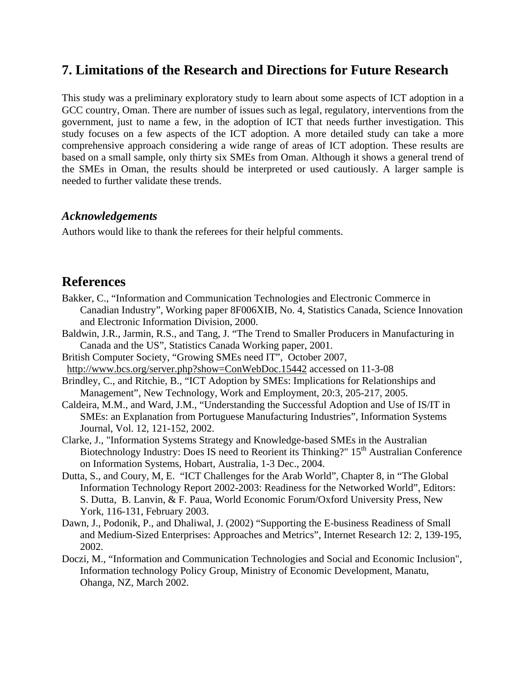### **7. Limitations of the Research and Directions for Future Research**

This study was a preliminary exploratory study to learn about some aspects of ICT adoption in a GCC country, Oman. There are number of issues such as legal, regulatory, interventions from the government, just to name a few, in the adoption of ICT that needs further investigation. This study focuses on a few aspects of the ICT adoption. A more detailed study can take a more comprehensive approach considering a wide range of areas of ICT adoption. These results are based on a small sample, only thirty six SMEs from Oman. Although it shows a general trend of the SMEs in Oman, the results should be interpreted or used cautiously. A larger sample is needed to further validate these trends.

#### *Acknowledgements*

Authors would like to thank the referees for their helpful comments.

#### **References**

- Bakker, C., "Information and Communication Technologies and Electronic Commerce in Canadian Industry", Working paper 8F006XIB, No. 4, Statistics Canada, Science Innovation and Electronic Information Division, 2000.
- Baldwin, J.R., Jarmin, R.S., and Tang, J. "The Trend to Smaller Producers in Manufacturing in Canada and the US", Statistics Canada Working paper, 2001.
- British Computer Society, "Growing SMEs need IT", October 2007, http://www.bcs.org/server.php?show=ConWebDoc.15442 accessed on 11-3-08
- Brindley, C., and Ritchie, B., "ICT Adoption by SMEs: Implications for Relationships and Management", New Technology, Work and Employment, 20:3, 205-217, 2005.
- Caldeira, M.M., and Ward, J.M., "Understanding the Successful Adoption and Use of IS/IT in SMEs: an Explanation from Portuguese Manufacturing Industries", Information Systems Journal, Vol. 12, 121-152, 2002.
- Clarke, J., "Information Systems Strategy and Knowledge-based SMEs in the Australian Biotechnology Industry: Does IS need to Reorient its Thinking?" 15<sup>th</sup> Australian Conference on Information Systems, Hobart, Australia, 1-3 Dec., 2004.
- Dutta, S., and Coury, M, E. "ICT Challenges for the Arab World", Chapter 8, in "The Global Information Technology Report 2002-2003: Readiness for the Networked World", Editors: S. Dutta, B. Lanvin, & F. Paua, World Economic Forum/Oxford University Press, New York, 116-131, February 2003.
- Dawn, J., Podonik, P., and Dhaliwal, J. (2002) "Supporting the E-business Readiness of Small and Medium-Sized Enterprises: Approaches and Metrics", Internet Research 12: 2, 139-195, 2002.
- Doczi, M., "Information and Communication Technologies and Social and Economic Inclusion", Information technology Policy Group, Ministry of Economic Development, Manatu, Ohanga, NZ, March 2002.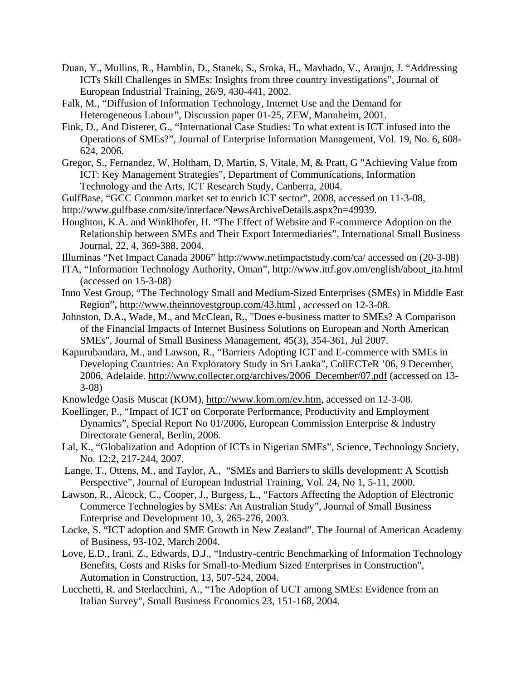- Duan, Y., Mullins, R., Hamblin, D., Stanek, S., Sroka, H., Mavhado, V., Araujo, J. "Addressing ICTs Skill Challenges in SMEs: Insights from three country investigations", Journal of European Industrial Training, 26/9, 430-441, 2002.
- Falk, M., "Diffusion of Information Technology, Internet Use and the Demand for Heterogeneous Labour", Discussion paper 01-25, ZEW, Mannheim, 2001.
- Fink, D., And Disterer, G., "International Case Studies: To what extent is ICT infused into the Operations of SMEs?", Journal of Enterprise Information Management, Vol. 19, No. 6, 608- 624, 2006.
- Gregor, S., Fernandez, W, Holtham, D, Martin, S, Vitale, M, & Pratt, G "Achieving Value from ICT: Key Management Strategies", Department of Communications, Information Technology and the Arts, ICT Research Study, Canberra, 2004.
- GulfBase, "GCC Common market set to enrich ICT sector", 2008, accessed on 11-3-08,
- http://www.gulfbase.com/site/interface/NewsArchiveDetails.aspx?n=49939.
- Houghton, K.A. and Winklhofer, H. "The Effect of Website and E-commerce Adoption on the Relationship between SMEs and Their Export Intermediaries", International Small Business Journal, 22, 4, 369-388, 2004.
- Illuminas "Net Impact Canada 2006" http://www.netimpactstudy.com/ca/ accessed on (20-3-08)
- ITA, "Information Technology Authority, Oman", http://www.ittf.gov.om/english/about\_ita.html (accessed on 15-3-08)
- Inno Vest Group, "The Technology Small and Medium-Sized Enterprises (SMEs) in Middle East Region"**,** http://www.theinnovestgroup.com/43.html , accessed on 12-3-08.
- Johnston, D.A., Wade, M., and McClean, R., "Does e-business matter to SMEs? A Comparison of the Financial Impacts of Internet Business Solutions on European and North American SMEs", Journal of Small Business Management, 45(3), 354-361, Jul 2007.
- Kapurubandara, M., and Lawson, R., "Barriers Adopting ICT and E-commerce with SMEs in Developing Countries: An Exploratory Study in Sri Lanka", CollECTeR '06, 9 December, 2006, Adelaide. http://www.collecter.org/archives/2006\_December/07.pdf (accessed on 13- 3-08)
- Knowledge Oasis Muscat (KOM), http://www.kom.om/ev.htm, accessed on 12-3-08.
- Koellinger, P., "Impact of ICT on Corporate Performance, Productivity and Employment Dynamics", Special Report No 01/2006, European Commission Enterprise & Industry Directorate General, Berlin, 2006.
- Lal, K., "Globalization and Adoption of ICTs in Nigerian SMEs", Science, Technology Society, No. 12:2, 217-244, 2007.
- Lange, T., Ottens, M., and Taylor, A., "SMEs and Barriers to skills development: A Scottish Perspective", Journal of European Industrial Training, Vol. 24, No 1, 5-11, 2000.
- Lawson, R., Alcock, C., Cooper, J., Burgess, L., "Factors Affecting the Adoption of Electronic Commerce Technologies by SMEs: An Australian Study", Journal of Small Business Enterprise and Development 10, 3, 265-276, 2003.
- Locke, S. "ICT adoption and SME Growth in New Zealand", The Journal of American Academy of Business, 93-102, March 2004.
- Love, E.D., Irani, Z., Edwards, D.J., "Industry-centric Benchmarking of Information Technology Benefits, Costs and Risks for Small-to-Medium Sized Enterprises in Construction", Automation in Construction, 13, 507-524, 2004.
- Lucchetti, R. and Sterlacchini, A., "The Adoption of UCT among SMEs: Evidence from an Italian Survey", Small Business Economics 23, 151-168, 2004.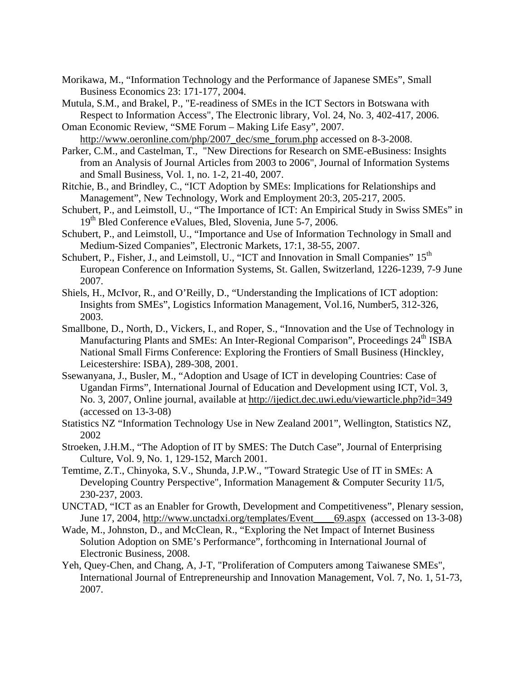- Morikawa, M., "Information Technology and the Performance of Japanese SMEs", Small Business Economics 23: 171-177, 2004.
- Mutula, S.M., and Brakel, P., "E-readiness of SMEs in the ICT Sectors in Botswana with Respect to Information Access", The Electronic library, Vol. 24, No. 3, 402-417, 2006.
- Oman Economic Review, "SME Forum Making Life Easy", 2007. http://www.oeronline.com/php/2007\_dec/sme\_forum.php accessed on 8-3-2008.
- Parker, C.M., and Castelman, T., "New Directions for Research on SME-eBusiness: Insights from an Analysis of Journal Articles from 2003 to 2006", Journal of Information Systems and Small Business, Vol. 1, no. 1-2, 21-40, 2007.
- Ritchie, B., and Brindley, C., "ICT Adoption by SMEs: Implications for Relationships and Management", New Technology, Work and Employment 20:3, 205-217, 2005.
- Schubert, P., and Leimstoll, U., "The Importance of ICT: An Empirical Study in Swiss SMEs" in 19<sup>th</sup> Bled Conference eValues, Bled, Slovenia, June 5-7, 2006.
- Schubert, P., and Leimstoll, U., "Importance and Use of Information Technology in Small and Medium-Sized Companies", Electronic Markets, 17:1, 38-55, 2007.
- Schubert, P., Fisher, J., and Leimstoll, U., "ICT and Innovation in Small Companies" 15<sup>th</sup> European Conference on Information Systems, St. Gallen, Switzerland, 1226-1239, 7-9 June 2007.
- Shiels, H., McIvor, R., and O'Reilly, D., "Understanding the Implications of ICT adoption: Insights from SMEs", Logistics Information Management, Vol.16, Number5, 312-326, 2003.
- Smallbone, D., North, D., Vickers, I., and Roper, S., "Innovation and the Use of Technology in Manufacturing Plants and SMEs: An Inter-Regional Comparison", Proceedings 24<sup>th</sup> ISBA National Small Firms Conference: Exploring the Frontiers of Small Business (Hinckley, Leicestershire: ISBA), 289-308, 2001.
- Ssewanyana, J., Busler, M., "Adoption and Usage of ICT in developing Countries: Case of Ugandan Firms", International Journal of Education and Development using ICT, Vol. 3, No. 3, 2007, Online journal, available at http://ijedict.dec.uwi.edu/viewarticle.php?id=349 (accessed on 13-3-08)
- Statistics NZ "Information Technology Use in New Zealand 2001", Wellington, Statistics NZ, 2002
- Stroeken, J.H.M., "The Adoption of IT by SMES: The Dutch Case", Journal of Enterprising Culture, Vol. 9, No. 1, 129-152, March 2001.
- Temtime, Z.T., Chinyoka, S.V., Shunda, J.P.W., "Toward Strategic Use of IT in SMEs: A Developing Country Perspective", Information Management & Computer Security 11/5, 230-237, 2003.
- UNCTAD, "ICT as an Enabler for Growth, Development and Competitiveness", Plenary session, June 17, 2004, http://www.unctadxi.org/templates/Event\_\_\_\_69.aspx (accessed on 13-3-08)
- Wade, M., Johnston, D., and McClean, R., "Exploring the Net Impact of Internet Business Solution Adoption on SME's Performance", forthcoming in International Journal of Electronic Business, 2008.
- Yeh, Quey-Chen, and Chang, A, J-T, "Proliferation of Computers among Taiwanese SMEs", International Journal of Entrepreneurship and Innovation Management, Vol. 7, No. 1, 51-73, 2007.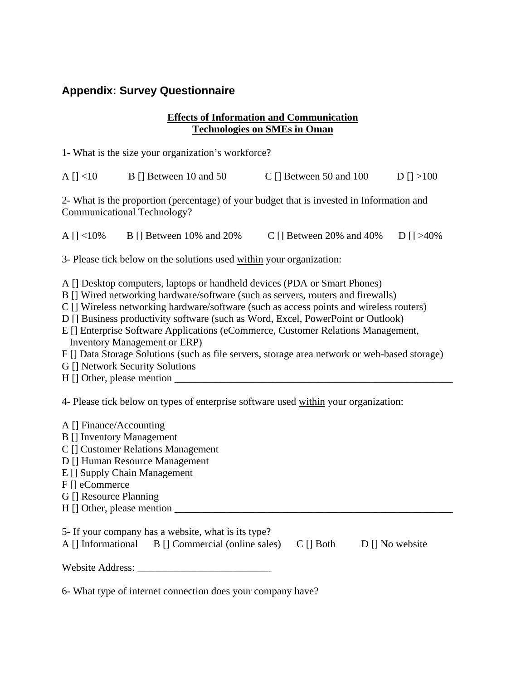#### **Appendix: Survey Questionnaire**

#### **Effects of Information and Communication Technologies on SMEs in Oman**

| A $[$   $<$ 10 | B [] Between 10 and 50 | C [] Between 50 and 100 | $D \mid \mid > 100$ |
|----------------|------------------------|-------------------------|---------------------|
|                |                        |                         |                     |

2- What is the proportion (percentage) of your budget that is invested in Information and Communicational Technology?

A [ $\vert$  <10% B [] Between 10% and 20% C [] Between 20% and 40% D [] >40%

3- Please tick below on the solutions used within your organization:

A [] Desktop computers, laptops or handheld devices (PDA or Smart Phones)

B [] Wired networking hardware/software (such as servers, routers and firewalls)

C [] Wireless networking hardware/software (such as access points and wireless routers)

D [] Business productivity software (such as Word, Excel, PowerPoint or Outlook)

E [] Enterprise Software Applications (eCommerce, Customer Relations Management, Inventory Management or ERP)

F [] Data Storage Solutions (such as file servers, storage area network or web-based storage)

G [] Network Security Solutions

 $H \parallel$  Other, please mention

4- Please tick below on types of enterprise software used within your organization:

| A [] Finance/Accounting                             |                 |                       |  |  |  |  |  |
|-----------------------------------------------------|-----------------|-----------------------|--|--|--|--|--|
| <b>B</b> [] Inventory Management                    |                 |                       |  |  |  |  |  |
| C [] Customer Relations Management                  |                 |                       |  |  |  |  |  |
| D [] Human Resource Management                      |                 |                       |  |  |  |  |  |
| E [] Supply Chain Management                        |                 |                       |  |  |  |  |  |
| $F$ [] eCommerce                                    |                 |                       |  |  |  |  |  |
| G [] Resource Planning                              |                 |                       |  |  |  |  |  |
| $H \mid$ Other, please mention $\Box$               |                 |                       |  |  |  |  |  |
|                                                     |                 |                       |  |  |  |  |  |
| 5- If your company has a website, what is its type? |                 |                       |  |  |  |  |  |
| A [] Informational B [] Commercial (online sales)   | $C \sqcap$ Both | $D \cap N$ No website |  |  |  |  |  |
|                                                     |                 |                       |  |  |  |  |  |
| Website Address:                                    |                 |                       |  |  |  |  |  |
|                                                     |                 |                       |  |  |  |  |  |

6- What type of internet connection does your company have?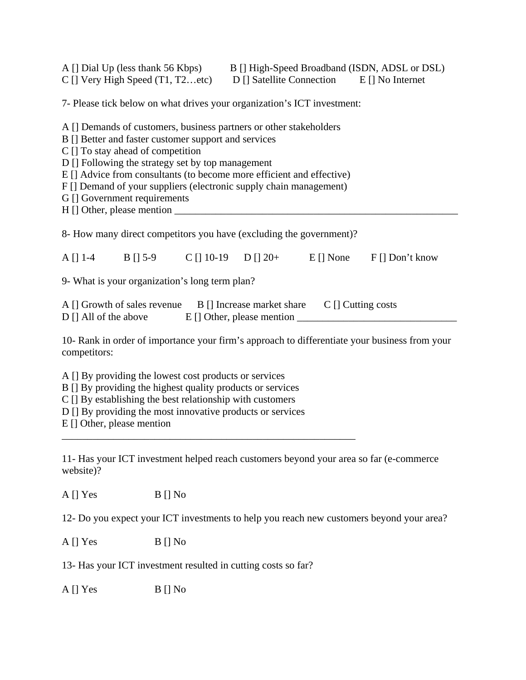|                                                                                                                                                                                                                                                                                                                                                                                                     | A [] Dial Up (less thank 56 Kbps) B [] High-Speed Broadband (ISDN, ADSL or DSL)<br>C [] Very High Speed (T1, T2etc) D [] Satellite Connection E [] No Internet |  |  |  |                                                                 |  |  |  |
|-----------------------------------------------------------------------------------------------------------------------------------------------------------------------------------------------------------------------------------------------------------------------------------------------------------------------------------------------------------------------------------------------------|----------------------------------------------------------------------------------------------------------------------------------------------------------------|--|--|--|-----------------------------------------------------------------|--|--|--|
| 7- Please tick below on what drives your organization's ICT investment:                                                                                                                                                                                                                                                                                                                             |                                                                                                                                                                |  |  |  |                                                                 |  |  |  |
| A [] Demands of customers, business partners or other stakeholders<br>B [] Better and faster customer support and services<br>C [] To stay ahead of competition<br>D [] Following the strategy set by top management<br>E [] Advice from consultants (to become more efficient and effective)<br>F [] Demand of your suppliers (electronic supply chain management)<br>G [] Government requirements |                                                                                                                                                                |  |  |  |                                                                 |  |  |  |
| 8- How many direct competitors you have (excluding the government)?                                                                                                                                                                                                                                                                                                                                 |                                                                                                                                                                |  |  |  |                                                                 |  |  |  |
|                                                                                                                                                                                                                                                                                                                                                                                                     |                                                                                                                                                                |  |  |  | A [] 1-4 B [] 5-9 C [] 10-19 D [] 20+ E [] None F [] Don't know |  |  |  |
| 9- What is your organization's long term plan?                                                                                                                                                                                                                                                                                                                                                      |                                                                                                                                                                |  |  |  |                                                                 |  |  |  |
| A [] Growth of sales revenue B [] Increase market share C [] Cutting costs<br>D [] All of the above E [] Other, please mention _______________________________                                                                                                                                                                                                                                      |                                                                                                                                                                |  |  |  |                                                                 |  |  |  |
| 10- Rank in order of importance your firm's approach to differentiate your business from your<br>competitors:                                                                                                                                                                                                                                                                                       |                                                                                                                                                                |  |  |  |                                                                 |  |  |  |
| A [] By providing the lowest cost products or services<br>B [] By providing the highest quality products or services<br>$C$ [] By establishing the best relationship with customers<br>D [] By providing the most innovative products or services<br>E [] Other, please mention                                                                                                                     |                                                                                                                                                                |  |  |  |                                                                 |  |  |  |
| 11- Has your ICT investment helped reach customers beyond your area so far (e-commerce<br>website)?                                                                                                                                                                                                                                                                                                 |                                                                                                                                                                |  |  |  |                                                                 |  |  |  |
| A [] Yes                                                                                                                                                                                                                                                                                                                                                                                            | $B \mid No$                                                                                                                                                    |  |  |  |                                                                 |  |  |  |
| 12- Do you expect your ICT investments to help you reach new customers beyond your area?                                                                                                                                                                                                                                                                                                            |                                                                                                                                                                |  |  |  |                                                                 |  |  |  |
| A [] Yes                                                                                                                                                                                                                                                                                                                                                                                            | $B$ [] No                                                                                                                                                      |  |  |  |                                                                 |  |  |  |

13- Has your ICT investment resulted in cutting costs so far?

A [] Yes B [] No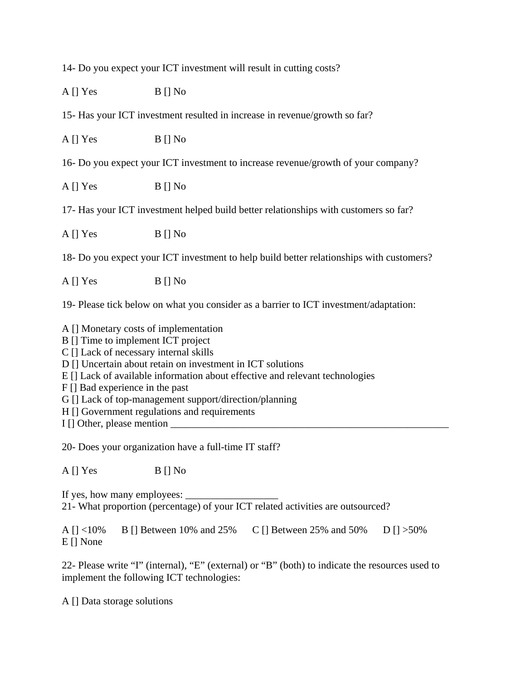14- Do you expect your ICT investment will result in cutting costs?

 $A \parallel Yes$   $B \parallel No$ 

15- Has your ICT investment resulted in increase in revenue/growth so far?

 $A [] Yes$   $B [] No$ 

16- Do you expect your ICT investment to increase revenue/growth of your company?

A [] Yes B [] No

17- Has your ICT investment helped build better relationships with customers so far?

 $A \parallel Yes$  B  $\parallel$  No

18- Do you expect your ICT investment to help build better relationships with customers?

 $A [$   $\begin{bmatrix} \text{Yes} \\ \text{B} \end{bmatrix}$  No

19- Please tick below on what you consider as a barrier to ICT investment/adaptation:

A [] Monetary costs of implementation

B [] Time to implement ICT project

C [] Lack of necessary internal skills

D [] Uncertain about retain on investment in ICT solutions

E [] Lack of available information about effective and relevant technologies

F [] Bad experience in the past

G [] Lack of top-management support/direction/planning

H [] Government regulations and requirements

I  $\Box$  Other, please mention  $\Box$ 

20- Does your organization have a full-time IT staff?

 $A [$   $\begin{bmatrix} \text{Yes} \\ \text{B} \end{bmatrix}$  No

If yes, how many employees:  $\Box$ 

21- What proportion (percentage) of your ICT related activities are outsourced?

A [] <10% B [] Between 10% and 25% C [] Between 25% and 50% D [] >50% E [] None

22- Please write "I" (internal), "E" (external) or "B" (both) to indicate the resources used to implement the following ICT technologies:

A [] Data storage solutions